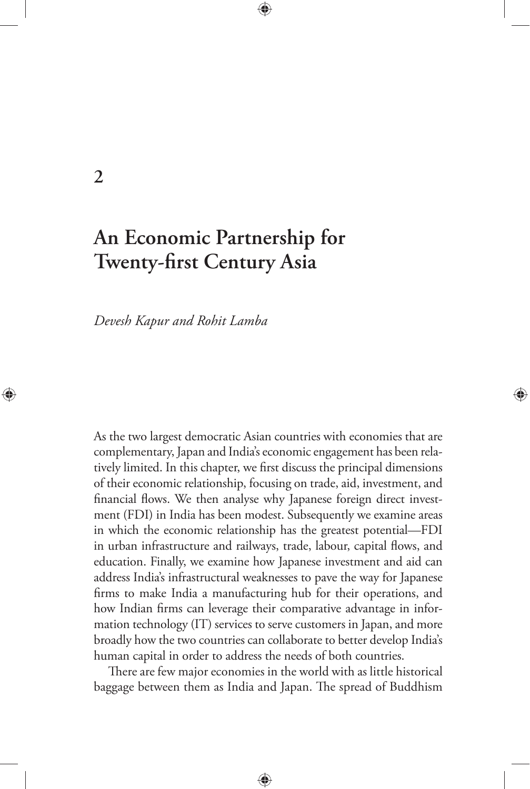⊕

 *Devesh Kapur and Rohit Lamba* 

 As the two largest democratic Asian countries with economies that are complementary, Japan and India's economic engagement has been relatively limited. In this chapter, we first discuss the principal dimensions of their economic relationship, focusing on trade, aid, investment, and financial flows. We then analyse why Japanese foreign direct investment (FDI) in India has been modest. Subsequently we examine areas in which the economic relationship has the greatest potential—FDI in urban infrastructure and railways, trade, labour, capital flows, and education. Finally, we examine how Japanese investment and aid can address India's infrastructural weaknesses to pave the way for Japanese firms to make India a manufacturing hub for their operations, and how Indian firms can leverage their comparative advantage in information technology (IT) services to serve customers in Japan, and more broadly how the two countries can collaborate to better develop India's human capital in order to address the needs of both countries.

◈

There are few major economies in the world with as little historical baggage between them as India and Japan. The spread of Buddhism

⊕

 **2**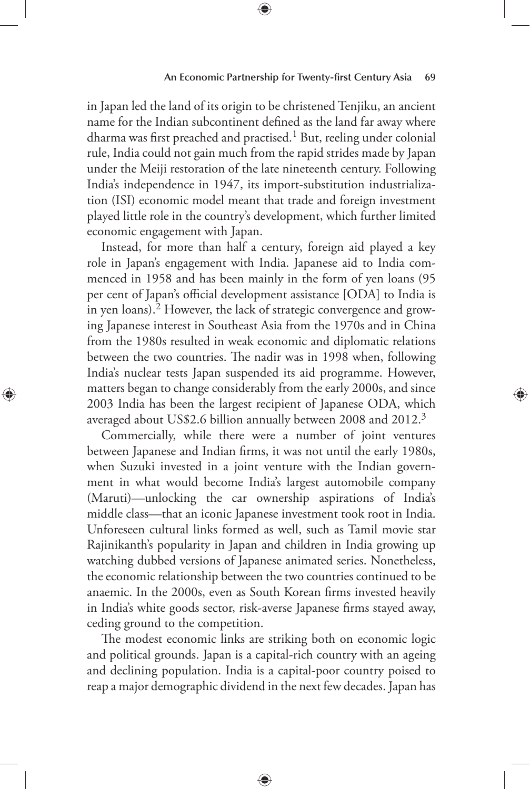in Japan led the land of its origin to be christened Tenjiku, an ancient name for the Indian subcontinent defined as the land far away where dharma was first preached and practised.<sup>1</sup> But, reeling under colonial rule, India could not gain much from the rapid strides made by Japan under the Meiji restoration of the late nineteenth century. Following India's independence in 1947, its import-substitution industrialization (ISI) economic model meant that trade and foreign investment played little role in the country's development, which further limited economic engagement with Japan.

⊕

 Instead, for more than half a century, foreign aid played a key role in Japan's engagement with India. Japanese aid to India commenced in 1958 and has been mainly in the form of yen loans (95 per cent of Japan's official development assistance [ODA] to India is in yen loans). 2 However, the lack of strategic convergence and growing Japanese interest in Southeast Asia from the 1970s and in China from the 1980s resulted in weak economic and diplomatic relations between the two countries. The nadir was in 1998 when, following India's nuclear tests Japan suspended its aid programme. However, matters began to change considerably from the early 2000s, and since 2003 India has been the largest recipient of Japanese ODA, which averaged about US\$2.6 billion annually between 2008 and 2012. 3

◈

⊕

 Commercially, while there were a number of joint ventures between Japanese and Indian firms, it was not until the early 1980s, when Suzuki invested in a joint venture with the Indian government in what would become India's largest automobile company (Maruti)—unlocking the car ownership aspirations of India's middle class—that an iconic Japanese investment took root in India. Unforeseen cultural links formed as well, such as Tamil movie star Rajinikanth's popularity in Japan and children in India growing up watching dubbed versions of Japanese animated series. Nonetheless, the economic relationship between the two countries continued to be anaemic. In the 2000s, even as South Korean firms invested heavily in India's white goods sector, risk-averse Japanese firms stayed away, ceding ground to the competition.

The modest economic links are striking both on economic logic and political grounds. Japan is a capital-rich country with an ageing and declining population. India is a capital-poor country poised to reap a major demographic dividend in the next few decades. Japan has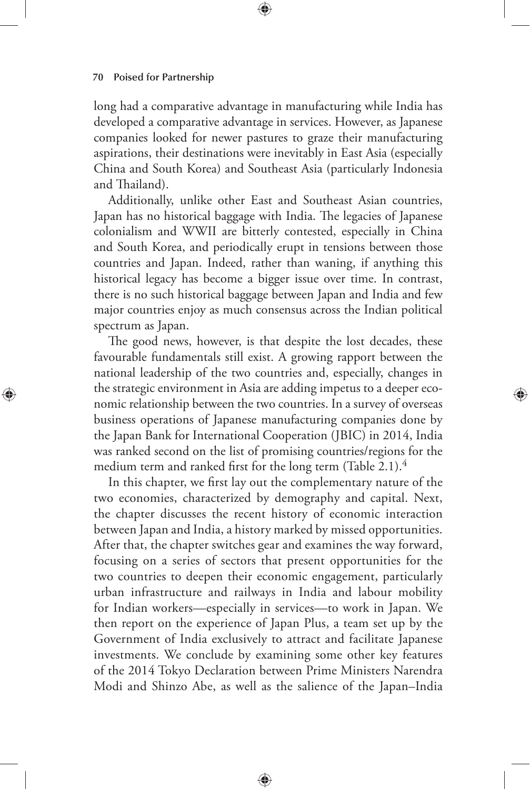◈

long had a comparative advantage in manufacturing while India has developed a comparative advantage in services. However, as Japanese companies looked for newer pastures to graze their manufacturing aspirations, their destinations were inevitably in East Asia (especially China and South Korea) and Southeast Asia (particularly Indonesia and Thailand).

⊕

 Additionally, unlike other East and Southeast Asian countries, Japan has no historical baggage with India. The legacies of Japanese colonialism and WWII are bitterly contested, especially in China and South Korea, and periodically erupt in tensions between those countries and Japan. Indeed, rather than waning, if anything this historical legacy has become a bigger issue over time. In contrast, there is no such historical baggage between Japan and India and few major countries enjoy as much consensus across the Indian political spectrum as Japan.

The good news, however, is that despite the lost decades, these favourable fundamentals still exist. A growing rapport between the national leadership of the two countries and, especially, changes in the strategic environment in Asia are adding impetus to a deeper economic relationship between the two countries. In a survey of overseas business operations of Japanese manufacturing companies done by the Japan Bank for International Cooperation (JBIC) in 2014, India was ranked second on the list of promising countries/regions for the medium term and ranked first for the long term (Table 2.1). $^4$ 

In this chapter, we first lay out the complementary nature of the two economies, characterized by demography and capital. Next, the chapter discusses the recent history of economic interaction between Japan and India, a history marked by missed opportunities. After that, the chapter switches gear and examines the way forward, focusing on a series of sectors that present opportunities for the two countries to deepen their economic engagement, particularly urban infrastructure and railways in India and labour mobility for Indian workers—especially in services—to work in Japan. We then report on the experience of Japan Plus, a team set up by the Government of India exclusively to attract and facilitate Japanese investments. We conclude by examining some other key features of the 2014 Tokyo Declaration between Prime Ministers Narendra Modi and Shinzo Abe, as well as the salience of the Japan–India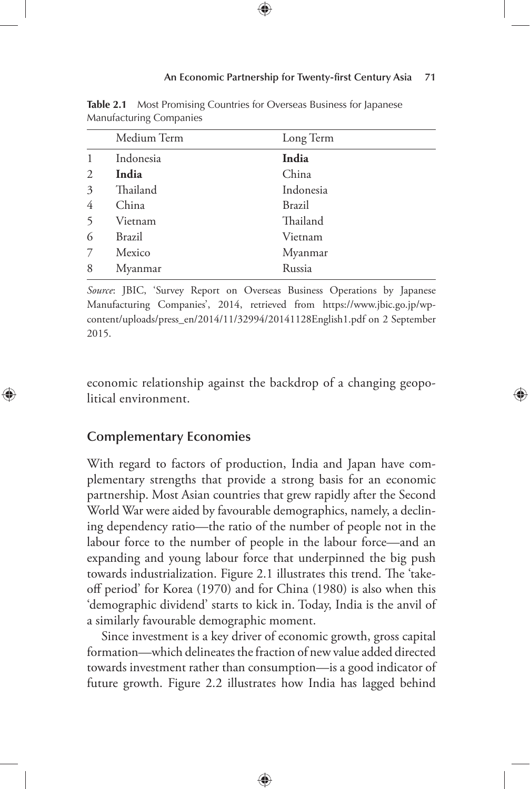|              | Medium Term | Long Term |
|--------------|-------------|-----------|
| $\mathbf{1}$ | Indonesia   | India     |
| 2            | India       | China     |
| 3            | Thailand    | Indonesia |
| 4            | China       | Brazil    |
| 5            | Vietnam     | Thailand  |
| 6            | Brazil      | Vietnam   |
| 7            | Mexico      | Myanmar   |
| 8            | Myanmar     | Russia    |

**Table 2.1** Most Promising Countries for Overseas Business for Japanese Manufacturing Companies

⊕

Source: JBIC, 'Survey Report on Overseas Business Operations by Japanese Manufacturing Companies', 2014, retrieved from https://www.jbic.go.jp/wpcontent/uploads/press\_en/2014/11/32994/20141128English1.pdf on 2 September 2015.

economic relationship against the backdrop of a changing geopolitical environment.

◈

## **Complementary Economies**

⊕

 With regard to factors of production, India and Japan have complementary strengths that provide a strong basis for an economic partnership. Most Asian countries that grew rapidly after the Second World War were aided by favourable demographics, namely, a declining dependency ratio—the ratio of the number of people not in the labour force to the number of people in the labour force—and an expanding and young labour force that underpinned the big push towards industrialization. Figure 2.1 illustrates this trend. The 'takeoff period' for Korea (1970) and for China (1980) is also when this 'demographic dividend' starts to kick in. Today, India is the anvil of a similarly favourable demographic moment.

 Since investment is a key driver of economic growth, gross capital formation—which delineates the fraction of new value added directed towards investment rather than consumption—is a good indicator of future growth. Figure 2.2 illustrates how India has lagged behind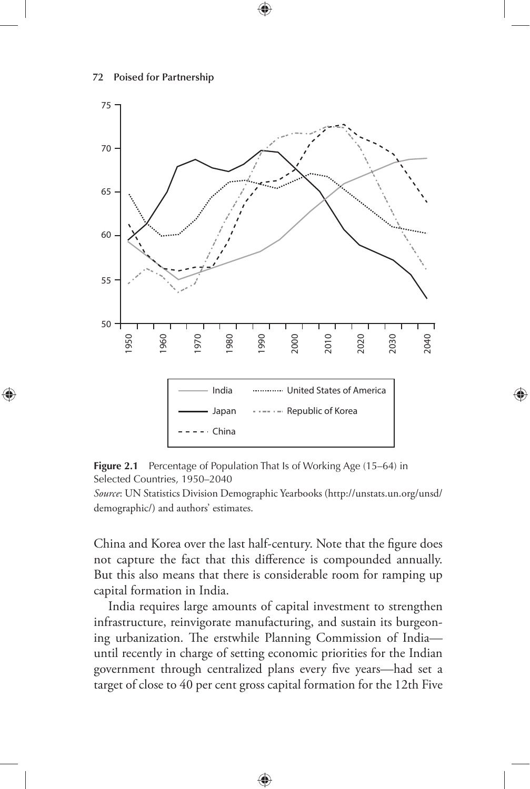⊕



⊕

**Figure 2.1** Percentage of Population That Is of Working Age (15–64) in Selected Countries, 1950–2040

*Source* : UN Statistics Division Demographic Yearbooks (http://unstats.un.org/unsd/ demographic/) and authors' estimates.

◈

China and Korea over the last half-century. Note that the figure does not capture the fact that this difference is compounded annually. But this also means that there is considerable room for ramping up capital formation in India.

 India requires large amounts of capital investment to strengthen infrastructure, reinvigorate manufacturing, and sustain its burgeoning urbanization. The erstwhile Planning Commission of Indiauntil recently in charge of setting economic priorities for the Indian government through centralized plans every five years—had set a target of close to 40 per cent gross capital formation for the 12th Five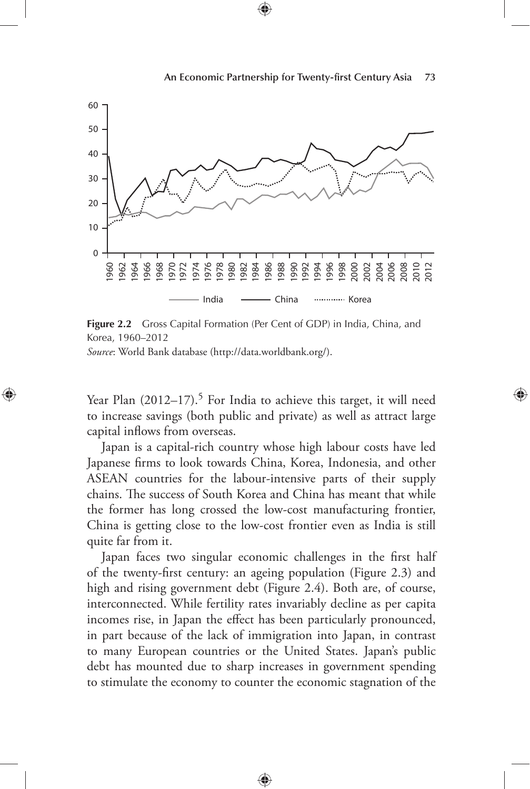

⊕

**Figure 2.2** Gross Capital Formation (Per Cent of GDP) in India, China, and Korea, 1960–2012

Source: World Bank database (http://data.worldbank.org/).

⊕

Year Plan  $(2012-17)$ .<sup>5</sup> For India to achieve this target, it will need to increase savings (both public and private) as well as attract large capital inflows from overseas.

⊕

 Japan is a capital-rich country whose high labour costs have led Japanese firms to look towards China, Korea, Indonesia, and other ASEAN countries for the labour-intensive parts of their supply chains. The success of South Korea and China has meant that while the former has long crossed the low-cost manufacturing frontier, China is getting close to the low-cost frontier even as India is still quite far from it.

Japan faces two singular economic challenges in the first half of the twenty-first century: an ageing population (Figure 2.3) and high and rising government debt (Figure 2.4). Both are, of course, interconnected. While fertility rates invariably decline as per capita incomes rise, in Japan the effect has been particularly pronounced, in part because of the lack of immigration into Japan, in contrast to many European countries or the United States. Japan's public debt has mounted due to sharp increases in government spending to stimulate the economy to counter the economic stagnation of the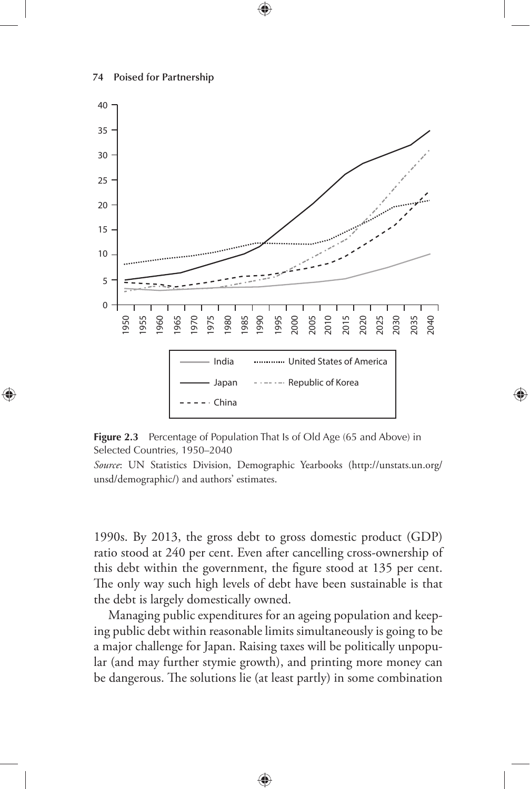⊕



⊕

**Figure 2.3** Percentage of Population That Is of Old Age (65 and Above) in Selected Countries, 1950–2040

*Source* : UN Statistics Division, Demographic Yearbooks (http://unstats.un.org/ unsd/demographic/) and authors' estimates.

⊕

1990s. By 2013, the gross debt to gross domestic product (GDP) ratio stood at 240 per cent. Even after cancelling cross-ownership of this debt within the government, the figure stood at 135 per cent. The only way such high levels of debt have been sustainable is that the debt is largely domestically owned.

 Managing public expenditures for an ageing population and keeping public debt within reasonable limits simultaneously is going to be a major challenge for Japan. Raising taxes will be politically unpopular (and may further stymie growth), and printing more money can be dangerous. The solutions lie (at least partly) in some combination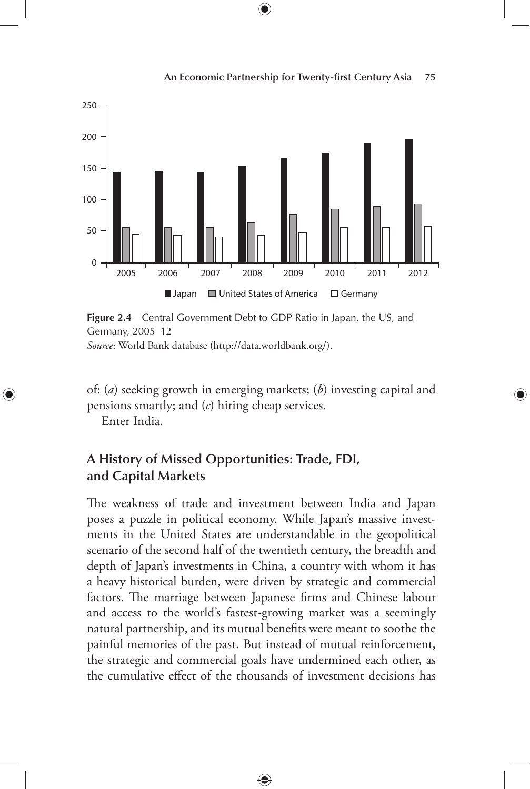

⊕

### **An Economic Partnership for Twenty-first Century Asia 75**

**Figure 2.4** Central Government Debt to GDP Ratio in Japan, the US, and Germany, 2005–12 Source: World Bank database (http://data.worldbank.org/).

of: (*a*) seeking growth in emerging markets; (*b*) investing capital and pensions smartly; and  $(c)$  hiring cheap services.

⊕

Enter India.

⊕

## **A History of Missed Opportunities: Trade, FDI, and Capital Markets**

The weakness of trade and investment between India and Japan poses a puzzle in political economy. While Japan's massive investments in the United States are understandable in the geopolitical scenario of the second half of the twentieth century, the breadth and depth of Japan's investments in China, a country with whom it has a heavy historical burden, were driven by strategic and commercial factors. The marriage between Japanese firms and Chinese labour and access to the world's fastest-growing market was a seemingly natural partnership, and its mutual benefits were meant to soothe the painful memories of the past. But instead of mutual reinforcement, the strategic and commercial goals have undermined each other, as the cumulative effect of the thousands of investment decisions has

◈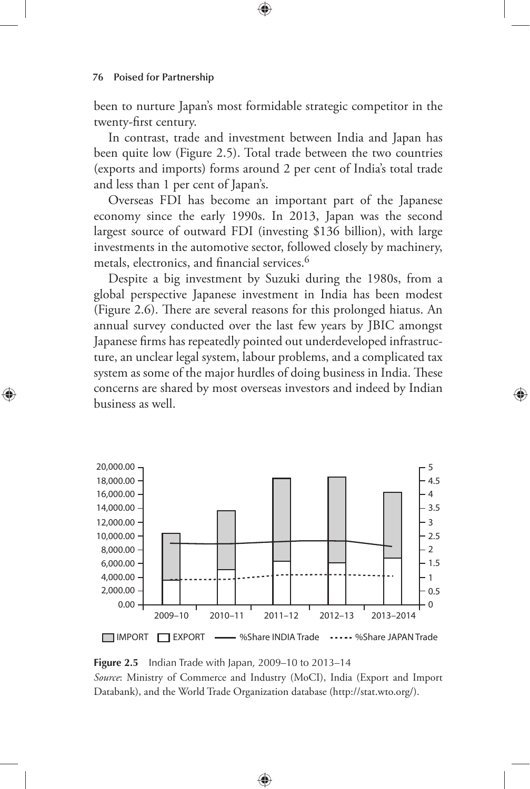⊕

been to nurture Japan's most formidable strategic competitor in the twenty-first century.

⊕

 In contrast, trade and investment between India and Japan has been quite low (Figure 2.5). Total trade between the two countries (exports and imports) forms around 2 per cent of India's total trade and less than 1 per cent of Japan's.

 Overseas FDI has become an important part of the Japanese economy since the early 1990s. In 2013, Japan was the second largest source of outward FDI (investing \$136 billion), with large investments in the automotive sector, followed closely by machinery, metals, electronics, and financial services.<sup>6</sup>

 Despite a big investment by Suzuki during the 1980s, from a global perspective Japanese investment in India has been modest (Figure 2.6). There are several reasons for this prolonged hiatus. An annual survey conducted over the last few years by JBIC amongst Japanese firms has repeatedly pointed out underdeveloped infrastructure, an unclear legal system, labour problems, and a complicated tax system as some of the major hurdles of doing business in India. These concerns are shared by most overseas investors and indeed by Indian business as well.

⊕



**Figure 2.5** Indian Trade with Japan, 2009–10 to 2013–14

Source: Ministry of Commerce and Industry (MoCI), India (Export and Import Databank), and the World Trade Organization database (http://stat.wto.org/).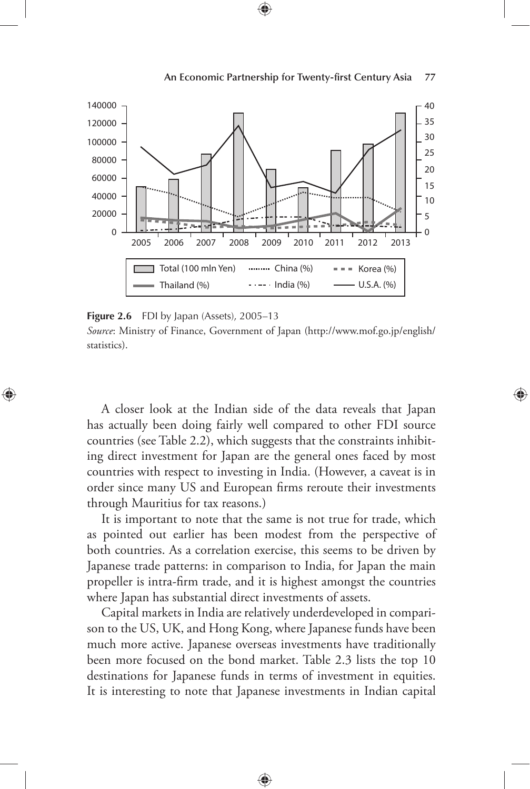

⊕

### **An Economic Partnership for Twenty-first Century Asia 77**



⊕

*Source* : Ministry of Finance, Government of Japan (http://www.mof.go.jp/english/ statistics).

⊕

 A closer look at the Indian side of the data reveals that Japan has actually been doing fairly well compared to other FDI source countries (see Table 2.2), which suggests that the constraints inhibiting direct investment for Japan are the general ones faced by most countries with respect to investing in India. (However, a caveat is in order since many US and European firms reroute their investments through Mauritius for tax reasons.)

 It is important to note that the same is not true for trade, which as pointed out earlier has been modest from the perspective of both countries. As a correlation exercise, this seems to be driven by Japanese trade patterns: in comparison to India, for Japan the main propeller is intra-firm trade, and it is highest amongst the countries where Japan has substantial direct investments of assets.

 Capital markets in India are relatively underdeveloped in comparison to the US, UK, and Hong Kong, where Japanese funds have been much more active. Japanese overseas investments have traditionally been more focused on the bond market. Table 2.3 lists the top 10 destinations for Japanese funds in terms of investment in equities. It is interesting to note that Japanese investments in Indian capital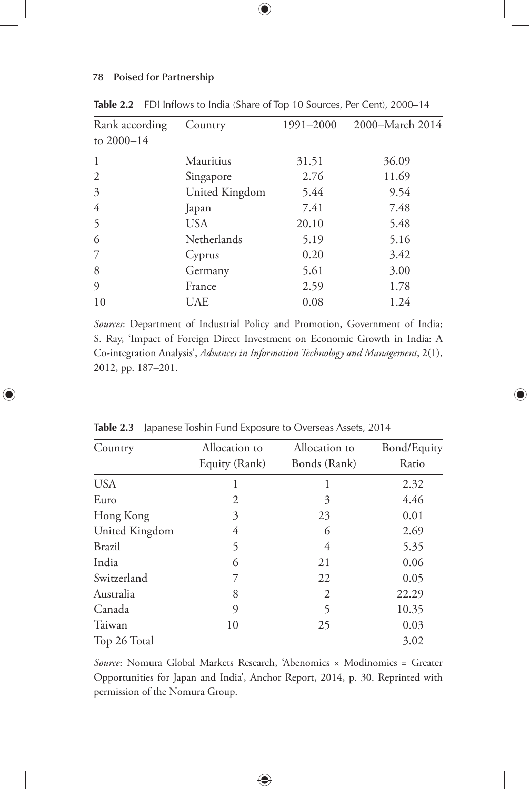◈

| Rank according | Country        | 1991-2000 | 2000–March 2014 |
|----------------|----------------|-----------|-----------------|
| to 2000-14     |                |           |                 |
| 1              | Mauritius      | 31.51     | 36.09           |
| $\overline{2}$ | Singapore      | 2.76      | 11.69           |
| 3              | United Kingdom | 5.44      | 9.54            |
| 4              | Japan          | 7.41      | 7.48            |
| 5              | USA.           | 20.10     | 5.48            |
| 6              | Netherlands    | 5.19      | 5.16            |
| 7              | Cyprus         | 0.20      | 3.42            |
| 8              | Germany        | 5.61      | 3.00            |
| 9              | France         | 2.59      | 1.78            |
| 10             | UAE            | 0.08      | 1.24            |

Table 2.2 FDI Inflows to India (Share of Top 10 Sources, Per Cent), 2000-14

 $\bigcirc$ 

*Sources* : Department of Industrial Policy and Promotion, Government of India; S. Ray, 'Impact of Foreign Direct Investment on Economic Growth in India: A Co-integration Analysis', *Advances in Information Technology and Management* , 2(1), 2012, pp. 187–201.

◈

| Country        | Allocation to | Allocation to | Bond/Equity |
|----------------|---------------|---------------|-------------|
|                | Equity (Rank) | Bonds (Rank)  | Ratio       |
| <b>USA</b>     | 1             |               | 2.32        |
| Euro           | 2             | 3             | 4.46        |
| Hong Kong      | 3             | 23            | 0.01        |
| United Kingdom | 4             | 6             | 2.69        |
| Brazil         | 5             | 4             | 5.35        |
| India          | 6             | 21            | 0.06        |
| Switzerland    | 7             | 22            | 0.05        |
| Australia      | 8             | 2             | 22.29       |
| Canada         | 9             | 5             | 10.35       |
| Taiwan         | 10            | 25            | 0.03        |
| Top 26 Total   |               |               | 3.02        |

**Table 2.3** Japanese Toshin Fund Exposure to Overseas Assets, 2014

*Source*: Nomura Global Markets Research, 'Abenomics × Modinomics = Greater Opportunities for Japan and India', Anchor Report, 2014, p. 30. Reprinted with permission of the Nomura Group.

 $\bigcirc$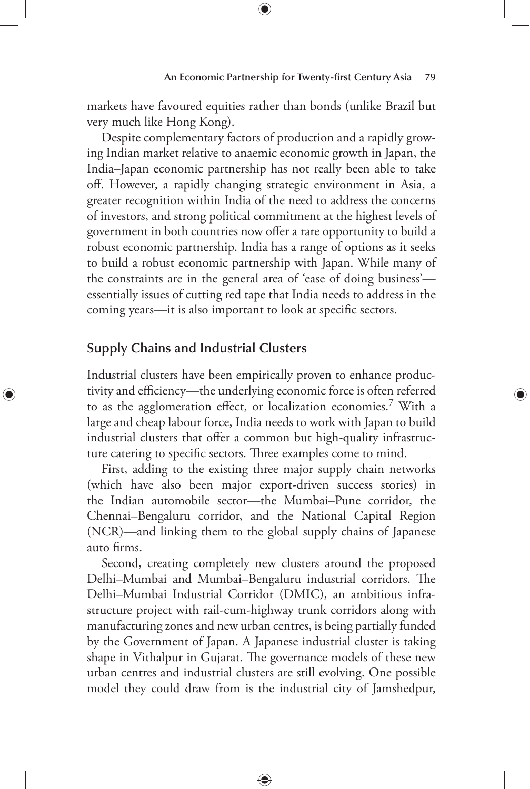markets have favoured equities rather than bonds (unlike Brazil but very much like Hong Kong).

⊕

 Despite complementary factors of production and a rapidly growing Indian market relative to anaemic economic growth in Japan, the India–Japan economic partnership has not really been able to take off. However, a rapidly changing strategic environment in Asia, a greater recognition within India of the need to address the concerns of investors, and strong political commitment at the highest levels of government in both countries now offer a rare opportunity to build a robust economic partnership. India has a range of options as it seeks to build a robust economic partnership with Japan. While many of the constraints are in the general area of 'ease of doing business' essentially issues of cutting red tape that India needs to address in the coming years—it is also important to look at specific sectors.

## **Supply Chains and Industrial Clusters**

⊕

 Industrial clusters have been empirically proven to enhance productivity and efficiency—the underlying economic force is often referred to as the agglomeration effect, or localization economies.<sup>7</sup> With a large and cheap labour force, India needs to work with Japan to build industrial clusters that offer a common but high-quality infrastructure catering to specific sectors. Three examples come to mind.

◈

 First, adding to the existing three major supply chain networks (which have also been major export-driven success stories) in the Indian automobile sector—the Mumbai–Pune corridor, the Chennai–Bengaluru corridor, and the National Capital Region (NCR)—and linking them to the global supply chains of Japanese auto firms.

 Second, creating completely new clusters around the proposed Delhi–Mumbai and Mumbai–Bengaluru industrial corridors. The Delhi–Mumbai Industrial Corridor (DMIC), an ambitious infrastructure project with rail-cum-highway trunk corridors along with manufacturing zones and new urban centres, is being partially funded by the Government of Japan. A Japanese industrial cluster is taking shape in Vithalpur in Gujarat. The governance models of these new urban centres and industrial clusters are still evolving. One possible model they could draw from is the industrial city of Jamshedpur,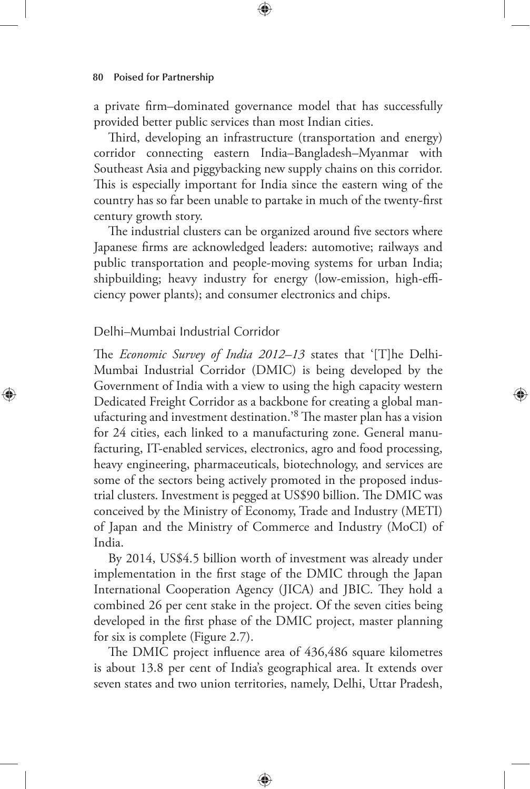a private firm–dominated governance model that has successfully provided better public services than most Indian cities.

⊕

Third, developing an infrastructure (transportation and energy) corridor connecting eastern India–Bangladesh–Myanmar with Southeast Asia and piggybacking new supply chains on this corridor. This is especially important for India since the eastern wing of the country has so far been unable to partake in much of the twenty-first century growth story.

The industrial clusters can be organized around five sectors where Japanese firms are acknowledged leaders: automotive; railways and public transportation and people-moving systems for urban India; shipbuilding; heavy industry for energy (low-emission, high-efficiency power plants); and consumer electronics and chips.

## Delhi–Mumbai Industrial Corridor

◈

The *Economic Survey of India 2012–13* states that '[T]he Delhi-Mumbai Industrial Corridor (DMIC) is being developed by the Government of India with a view to using the high capacity western Dedicated Freight Corridor as a backbone for creating a global manufacturing and investment destination.<sup>'8</sup> The master plan has a vision for 24 cities, each linked to a manufacturing zone. General manufacturing, IT-enabled services, electronics, agro and food processing, heavy engineering, pharmaceuticals, biotechnology, and services are some of the sectors being actively promoted in the proposed industrial clusters. Investment is pegged at US\$90 billion. The DMIC was conceived by the Ministry of Economy, Trade and Industry (METI) of Japan and the Ministry of Commerce and Industry (MoCI) of India.

 By 2014, US\$4.5 billion worth of investment was already under implementation in the first stage of the DMIC through the Japan International Cooperation Agency (JICA) and JBIC. They hold a combined 26 per cent stake in the project. Of the seven cities being developed in the first phase of the DMIC project, master planning for six is complete (Figure 2.7).

The DMIC project influence area of 436,486 square kilometres is about 13.8 per cent of India's geographical area. It extends over seven states and two union territories, namely, Delhi, Uttar Pradesh,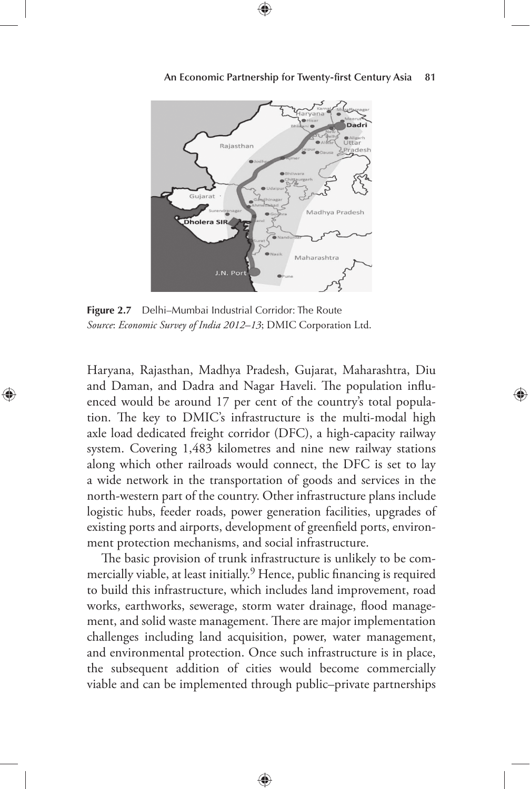

⊕

**An Economic Partnership for Twenty-first Century Asia 81** 

**Figure 2.7** Delhi–Mumbai Industrial Corridor: The Route Source: *Economic Survey of India 2012–13*; DMIC Corporation Ltd.

 $\bigoplus$ 

Haryana, Rajasthan, Madhya Pradesh, Gujarat, Maharashtra, Diu and Daman, and Dadra and Nagar Haveli. The population influenced would be around 17 per cent of the country's total population. The key to DMIC's infrastructure is the multi-modal high axle load dedicated freight corridor (DFC), a high-capacity railway system. Covering 1,483 kilometres and nine new railway stations along which other railroads would connect, the DFC is set to lay a wide network in the transportation of goods and services in the north-western part of the country. Other infrastructure plans include logistic hubs, feeder roads, power generation facilities, upgrades of existing ports and airports, development of greenfield ports, environment protection mechanisms, and social infrastructure.

⊕

The basic provision of trunk infrastructure is unlikely to be commercially viable, at least initially.<sup>9</sup> Hence, public financing is required to build this infrastructure, which includes land improvement, road works, earthworks, sewerage, storm water drainage, flood management, and solid waste management. There are major implementation challenges including land acquisition, power, water management, and environmental protection. Once such infrastructure is in place, the subsequent addition of cities would become commercially viable and can be implemented through public–private partnerships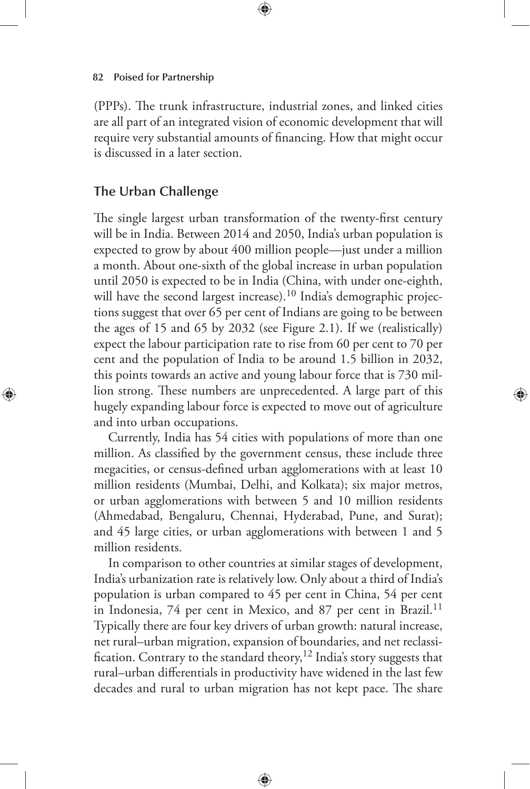(PPPs). The trunk infrastructure, industrial zones, and linked cities are all part of an integrated vision of economic development that will require very substantial amounts of financing. How that might occur is discussed in a later section.

⊕

## **The Urban Challenge**

⊕

The single largest urban transformation of the twenty-first century will be in India. Between 2014 and 2050, India's urban population is expected to grow by about 400 million people—just under a million a month. About one-sixth of the global increase in urban population until 2050 is expected to be in India (China, with under one-eighth, will have the second largest increase).<sup>10</sup> India's demographic projections suggest that over 65 per cent of Indians are going to be between the ages of 15 and 65 by 2032 (see Figure 2.1). If we (realistically) expect the labour participation rate to rise from 60 per cent to 70 per cent and the population of India to be around 1.5 billion in 2032, this points towards an active and young labour force that is 730 million strong. These numbers are unprecedented. A large part of this hugely expanding labour force is expected to move out of agriculture and into urban occupations.

◈

 Currently, India has 54 cities with populations of more than one million. As classified by the government census, these include three megacities, or census-defined urban agglomerations with at least 10 million residents (Mumbai, Delhi, and Kolkata); six major metros, or urban agglomerations with between 5 and 10 million residents (Ahmedabad, Bengaluru, Chennai, Hyderabad, Pune, and Surat); and 45 large cities, or urban agglomerations with between 1 and 5 million residents.

 In comparison to other countries at similar stages of development, India's urbanization rate is relatively low. Only about a third of India's population is urban compared to 45 per cent in China, 54 per cent in Indonesia, 74 per cent in Mexico, and 87 per cent in Brazil.<sup>11</sup> Typically there are four key drivers of urban growth: natural increase, net rural–urban migration, expansion of boundaries, and net reclassification. Contrary to the standard theory,  $12$  India's story suggests that rural–urban differentials in productivity have widened in the last few decades and rural to urban migration has not kept pace. The share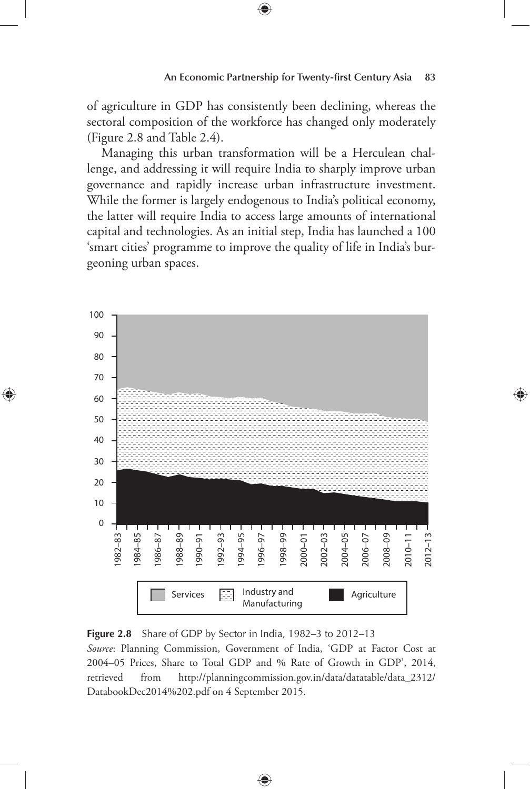of agriculture in GDP has consistently been declining, whereas the sectoral composition of the workforce has changed only moderately (Figure 2.8 and Table 2.4).

⊕

 Managing this urban transformation will be a Herculean challenge, and addressing it will require India to sharply improve urban governance and rapidly increase urban infrastructure investment. While the former is largely endogenous to India's political economy, the latter will require India to access large amounts of international capital and technologies. As an initial step, India has launched a 100 'smart cities' programme to improve the quality of life in India's burgeoning urban spaces.



⊕

⊕

**Figure 2.8** Share of GDP by Sector in India, 1982–3 to 2012–13 Source: Planning Commission, Government of India, 'GDP at Factor Cost at 2004–05 Prices, Share to Total GDP and % Rate of Growth in GDP', 2014, retrieved from http://planningcommission.gov.in/data/datatable/data\_2312/ DatabookDec2014%202.pdf on 4 September 2015.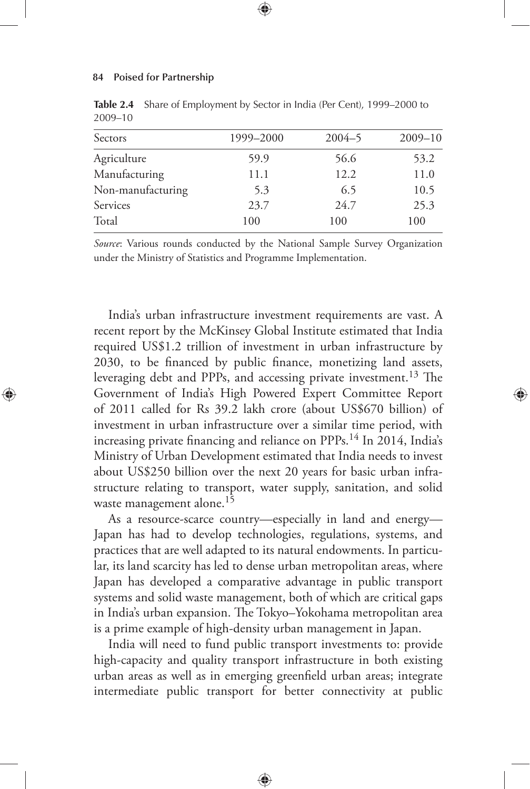⊕

| Sectors           | 1999-2000 | $2004 - 5$ | $2009 - 10$ |
|-------------------|-----------|------------|-------------|
| Agriculture       | 59.9      | 56.6       | 53.2        |
| Manufacturing     | 11.1      | 12.2       | 11.0        |
| Non-manufacturing | 5.3       | 6.5        | 10.5        |
| Services          | 23.7      | 24.7       | 25.3        |
| Total             | 100       | 100        | 100         |
|                   |           |            |             |

**Table 2.4** Share of Employment by Sector in India (Per Cent), 1999–2000 to 2009–10

⊕

Source: Various rounds conducted by the National Sample Survey Organization under the Ministry of Statistics and Programme Implementation.

 India's urban infrastructure investment requirements are vast. A recent report by the McKinsey Global Institute estimated that India required US\$1.2 trillion of investment in urban infrastructure by 2030, to be financed by public finance, monetizing land assets, leveraging debt and PPPs, and accessing private investment.<sup>13</sup> The Government of India's High Powered Expert Committee Report of 2011 called for Rs 39.2 lakh crore (about US\$670 billion) of investment in urban infrastructure over a similar time period, with increasing private financing and reliance on  $PPPs<sup>14</sup>$  In 2014, India's Ministry of Urban Development estimated that India needs to invest about US\$250 billion over the next 20 years for basic urban infrastructure relating to transport, water supply, sanitation, and solid waste management alone.<sup>15</sup>

 As a resource-scarce country—especially in land and energy— Japan has had to develop technologies, regulations, systems, and practices that are well adapted to its natural endowments. In particular, its land scarcity has led to dense urban metropolitan areas, where Japan has developed a comparative advantage in public transport systems and solid waste management, both of which are critical gaps in India's urban expansion. The Tokyo-Yokohama metropolitan area is a prime example of high-density urban management in Japan.

 India will need to fund public transport investments to: provide high-capacity and quality transport infrastructure in both existing urban areas as well as in emerging greenfield urban areas; integrate intermediate public transport for better connectivity at public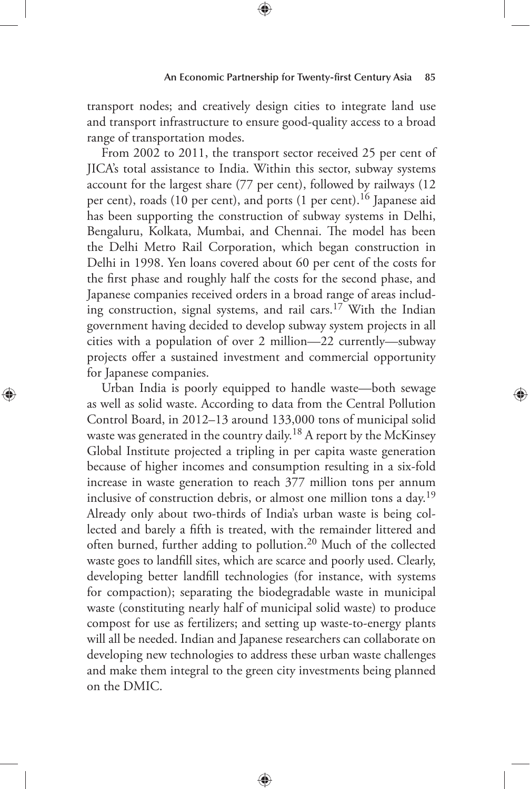◈

transport nodes; and creatively design cities to integrate land use and transport infrastructure to ensure good-quality access to a broad range of transportation modes.

⊕

 From 2002 to 2011, the transport sector received 25 per cent of JICA's total assistance to India. Within this sector, subway systems account for the largest share (77 per cent), followed by railways (12 per cent), roads (10 per cent), and ports (1 per cent). 16 Japanese aid has been supporting the construction of subway systems in Delhi, Bengaluru, Kolkata, Mumbai, and Chennai. The model has been the Delhi Metro Rail Corporation, which began construction in Delhi in 1998. Yen loans covered about 60 per cent of the costs for the first phase and roughly half the costs for the second phase, and Japanese companies received orders in a broad range of areas including construction, signal systems, and rail cars.<sup>17</sup> With the Indian government having decided to develop subway system projects in all cities with a population of over 2 million—22 currently—subway projects offer a sustained investment and commercial opportunity for Japanese companies.

◈

 Urban India is poorly equipped to handle waste—both sewage as well as solid waste. According to data from the Central Pollution Control Board, in 2012–13 around 133,000 tons of municipal solid waste was generated in the country daily.<sup>18</sup> A report by the McKinsey Global Institute projected a tripling in per capita waste generation because of higher incomes and consumption resulting in a six-fold increase in waste generation to reach 377 million tons per annum inclusive of construction debris, or almost one million tons a day.<sup>19</sup> Already only about two-thirds of India's urban waste is being collected and barely a fifth is treated, with the remainder littered and often burned, further adding to pollution. 20 Much of the collected waste goes to landfill sites, which are scarce and poorly used. Clearly, developing better landfill technologies (for instance, with systems for compaction); separating the biodegradable waste in municipal waste (constituting nearly half of municipal solid waste) to produce compost for use as fertilizers; and setting up waste-to-energy plants will all be needed. Indian and Japanese researchers can collaborate on developing new technologies to address these urban waste challenges and make them integral to the green city investments being planned on the DMIC.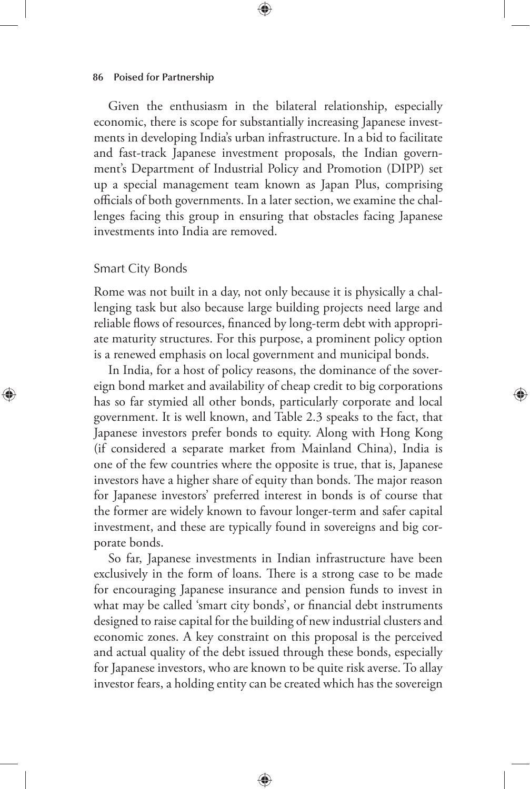Given the enthusiasm in the bilateral relationship, especially economic, there is scope for substantially increasing Japanese investments in developing India's urban infrastructure. In a bid to facilitate and fast-track Japanese investment proposals, the Indian government's Department of Industrial Policy and Promotion (DIPP) set up a special management team known as Japan Plus, comprising officials of both governments. In a later section, we examine the challenges facing this group in ensuring that obstacles facing Japanese investments into India are removed.

⊕

## Smart City Bonds

⊕

 Rome was not built in a day, not only because it is physically a challenging task but also because large building projects need large and reliable flows of resources, financed by long-term debt with appropriate maturity structures. For this purpose, a prominent policy option is a renewed emphasis on local government and municipal bonds.

 In India, for a host of policy reasons, the dominance of the sovereign bond market and availability of cheap credit to big corporations has so far stymied all other bonds, particularly corporate and local government. It is well known, and Table 2.3 speaks to the fact, that Japanese investors prefer bonds to equity. Along with Hong Kong (if considered a separate market from Mainland China), India is one of the few countries where the opposite is true, that is, Japanese investors have a higher share of equity than bonds. The major reason for Japanese investors' preferred interest in bonds is of course that the former are widely known to favour longer-term and safer capital investment, and these are typically found in sovereigns and big corporate bonds.

 So far, Japanese investments in Indian infrastructure have been exclusively in the form of loans. There is a strong case to be made for encouraging Japanese insurance and pension funds to invest in what may be called 'smart city bonds', or financial debt instruments designed to raise capital for the building of new industrial clusters and economic zones. A key constraint on this proposal is the perceived and actual quality of the debt issued through these bonds, especially for Japanese investors, who are known to be quite risk averse. To allay investor fears, a holding entity can be created which has the sovereign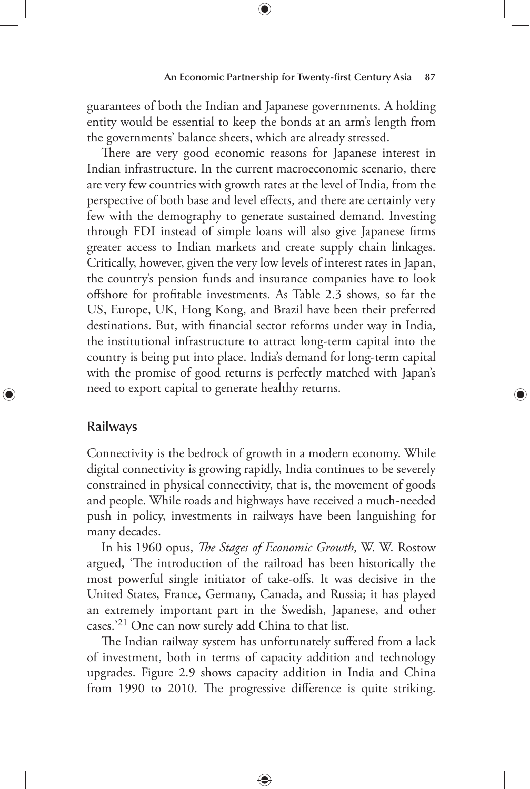guarantees of both the Indian and Japanese governments. A holding entity would be essential to keep the bonds at an arm's length from the governments' balance sheets, which are already stressed.

⊕

There are very good economic reasons for Japanese interest in Indian infrastructure. In the current macroeconomic scenario, there are very few countries with growth rates at the level of India, from the perspective of both base and level effects, and there are certainly very few with the demography to generate sustained demand. Investing through FDI instead of simple loans will also give Japanese firms greater access to Indian markets and create supply chain linkages. Critically, however, given the very low levels of interest rates in Japan, the country's pension funds and insurance companies have to look offshore for profitable investments. As Table 2.3 shows, so far the US, Europe, UK, Hong Kong, and Brazil have been their preferred destinations. But, with financial sector reforms under way in India, the institutional infrastructure to attract long-term capital into the country is being put into place. India's demand for long-term capital with the promise of good returns is perfectly matched with Japan's need to export capital to generate healthy returns.

## **Railways**

⊕

 Connectivity is the bedrock of growth in a modern economy. While digital connectivity is growing rapidly, India continues to be severely constrained in physical connectivity, that is, the movement of goods and people. While roads and highways have received a much-needed push in policy, investments in railways have been languishing for many decades.

↔

In his 1960 opus, *The Stages of Economic Growth*, W. W. Rostow argued, 'The introduction of the railroad has been historically the most powerful single initiator of take-offs. It was decisive in the United States, France, Germany, Canada, and Russia; it has played an extremely important part in the Swedish, Japanese, and other cases.'<sup>21</sup> One can now surely add China to that list.

The Indian railway system has unfortunately suffered from a lack of investment, both in terms of capacity addition and technology upgrades. Figure 2.9 shows capacity addition in India and China from 1990 to 2010. The progressive difference is quite striking.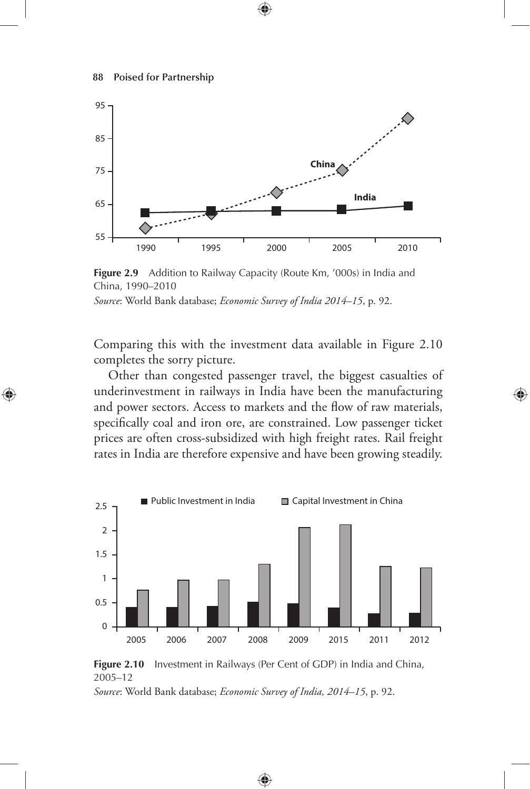◈



 $\bigcirc$ 



*Source* : World Bank database; *Economic Survey of India 2014–15* , p. 92.

Comparing this with the investment data available in Figure 2.10 completes the sorry picture.

 Other than congested passenger travel, the biggest casualties of underinvestment in railways in India have been the manufacturing and power sectors. Access to markets and the flow of raw materials, specifically coal and iron ore, are constrained. Low passenger ticket prices are often cross-subsidized with high freight rates. Rail freight rates in India are therefore expensive and have been growing steadily.

⊕



**Figure 2.10** Investment in Railways (Per Cent of GDP) in India and China, 2005–12

*Source* : World Bank database; *Economic Survey of India, 2014–15* , p. 92.

 $\bigcirc$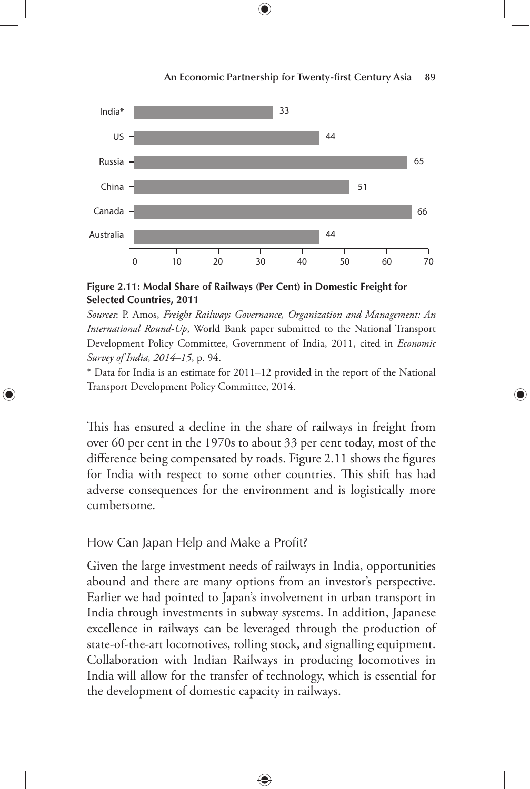Canada China Russia US India\* 33 44 65 51 66

⊕

## **An Economic Partnership for Twenty-first Century Asia 89**

44

⊕

20 30 40 50 60 70

**Figure 2.11 : Modal Share of Railways (Per Cent) in Domestic Freight for Selected Countries, 2011** 

*Sources* : P. Amos, *Freight Railways Governance, Organization and Management: An International Round-Up*, World Bank paper submitted to the National Transport Development Policy Committee, Government of India, 2011, cited in *Economic Survey of India, 2014–15* , p. 94.

 \* Data for India is an estimate for 2011–12 provided in the report of the National Transport Development Policy Committee, 2014.

This has ensured a decline in the share of railways in freight from over 60 per cent in the 1970s to about 33 per cent today, most of the difference being compensated by roads. Figure 2.11 shows the figures for India with respect to some other countries. This shift has had adverse consequences for the environment and is logistically more cumbersome.

## How Can Japan Help and Make a Profit?

Australia

⊕

0 10

 Given the large investment needs of railways in India, opportunities abound and there are many options from an investor's perspective. Earlier we had pointed to Japan's involvement in urban transport in India through investments in subway systems. In addition, Japanese excellence in railways can be leveraged through the production of state-of-the-art locomotives, rolling stock, and signalling equipment. Collaboration with Indian Railways in producing locomotives in India will allow for the transfer of technology, which is essential for the development of domestic capacity in railways.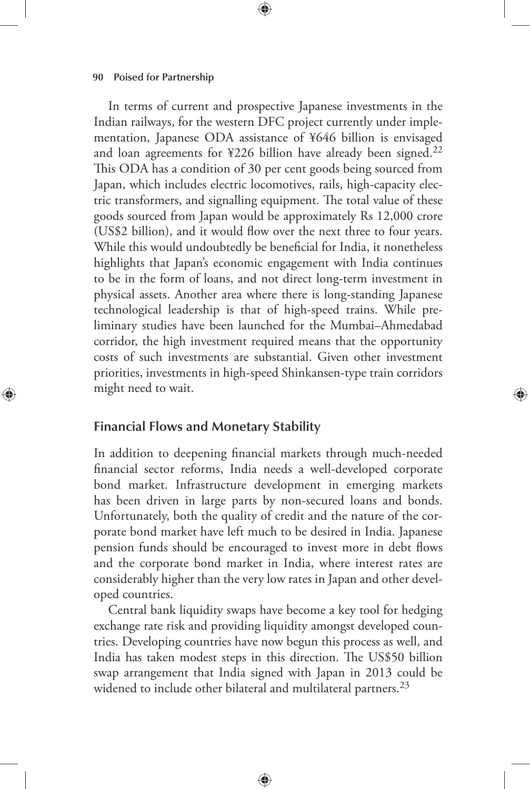In terms of current and prospective Japanese investments in the Indian railways, for the western DFC project currently under implementation, Japanese ODA assistance of ¥646 billion is envisaged and loan agreements for  $\text{\textsterling}226$  billion have already been signed.<sup>22</sup> This ODA has a condition of 30 per cent goods being sourced from Japan, which includes electric locomotives, rails, high-capacity electric transformers, and signalling equipment. The total value of these goods sourced from Japan would be approximately Rs 12,000 crore (US\$2 billion), and it would flow over the next three to four years. While this would undoubtedly be beneficial for India, it nonetheless highlights that Japan's economic engagement with India continues to be in the form of loans, and not direct long-term investment in physical assets. Another area where there is long-standing Japanese technological leadership is that of high-speed trains. While preliminary studies have been launched for the Mumbai–Ahmedabad corridor, the high investment required means that the opportunity costs of such investments are substantial. Given other investment priorities, investments in high-speed Shinkansen-type train corridors might need to wait.

⊕

## **Financial Flows and Monetary Stability**

◈

In addition to deepening financial markets through much-needed financial sector reforms, India needs a well-developed corporate bond market. Infrastructure development in emerging markets has been driven in large parts by non-secured loans and bonds. Unfortunately, both the quality of credit and the nature of the corporate bond market have left much to be desired in India. Japanese pension funds should be encouraged to invest more in debt flows and the corporate bond market in India, where interest rates are considerably higher than the very low rates in Japan and other developed countries.

◈

 Central bank liquidity swaps have become a key tool for hedging exchange rate risk and providing liquidity amongst developed countries. Developing countries have now begun this process as well, and India has taken modest steps in this direction. The US\$50 billion swap arrangement that India signed with Japan in 2013 could be widened to include other bilateral and multilateral partners.<sup>23</sup>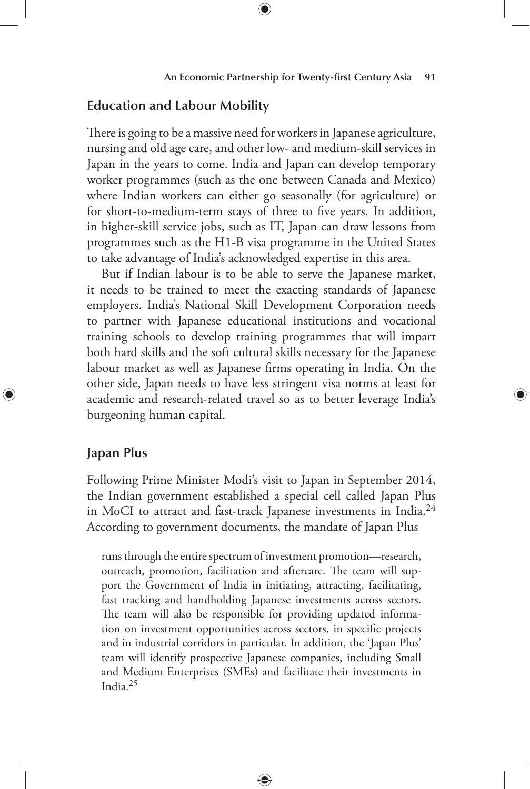## **Education and Labour Mobility**

There is going to be a massive need for workers in Japanese agriculture, nursing and old age care, and other low- and medium-skill services in Japan in the years to come. India and Japan can develop temporary worker programmes (such as the one between Canada and Mexico) where Indian workers can either go seasonally (for agriculture) or for short-to-medium-term stays of three to five years. In addition, in higher-skill service jobs, such as IT, Japan can draw lessons from programmes such as the H1-B visa programme in the United States to take advantage of India's acknowledged expertise in this area.

⊕

 But if Indian labour is to be able to serve the Japanese market, it needs to be trained to meet the exacting standards of Japanese employers. India's National Skill Development Corporation needs to partner with Japanese educational institutions and vocational training schools to develop training programmes that will impart both hard skills and the soft cultural skills necessary for the Japanese labour market as well as Japanese firms operating in India. On the other side, Japan needs to have less stringent visa norms at least for academic and research-related travel so as to better leverage India's burgeoning human capital.

## **Japan Plus**

⊕

 Following Prime Minister Modi's visit to Japan in September 2014, the Indian government established a special cell called Japan Plus in MoCI to attract and fast-track Japanese investments in India. $^{24}$ According to government documents, the mandate of Japan Plus

 runs through the entire spectrum of investment promotion—research, outreach, promotion, facilitation and aftercare. The team will support the Government of India in initiating, attracting, facilitating, fast tracking and handholding Japanese investments across sectors. The team will also be responsible for providing updated information on investment opportunities across sectors, in specific projects and in industrial corridors in particular. In addition, the 'Japan Plus' team will identify prospective Japanese companies, including Small and Medium Enterprises (SMEs) and facilitate their investments in India. 25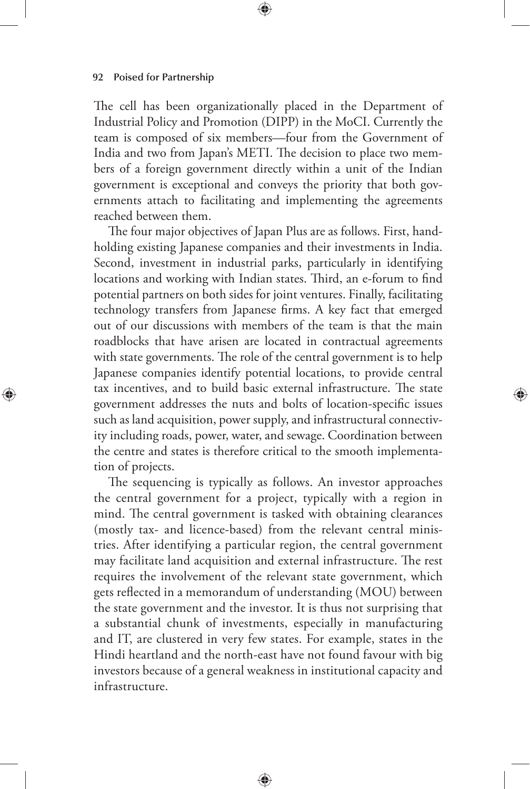◈

The cell has been organizationally placed in the Department of Industrial Policy and Promotion (DIPP) in the MoCI. Currently the team is composed of six members—four from the Government of India and two from Japan's METI. The decision to place two members of a foreign government directly within a unit of the Indian government is exceptional and conveys the priority that both governments attach to facilitating and implementing the agreements reached between them.

⊕

The four major objectives of Japan Plus are as follows. First, handholding existing Japanese companies and their investments in India. Second, investment in industrial parks, particularly in identifying locations and working with Indian states. Third, an e-forum to find potential partners on both sides for joint ventures. Finally, facilitating technology transfers from Japanese firms. A key fact that emerged out of our discussions with members of the team is that the main roadblocks that have arisen are located in contractual agreements with state governments. The role of the central government is to help Japanese companies identify potential locations, to provide central tax incentives, and to build basic external infrastructure. The state government addresses the nuts and bolts of location-specific issues such as land acquisition, power supply, and infrastructural connectivity including roads, power, water, and sewage. Coordination between the centre and states is therefore critical to the smooth implementation of projects.

The sequencing is typically as follows. An investor approaches the central government for a project, typically with a region in mind. The central government is tasked with obtaining clearances (mostly tax- and licence-based) from the relevant central ministries. After identifying a particular region, the central government may facilitate land acquisition and external infrastructure. The rest requires the involvement of the relevant state government, which gets reflected in a memorandum of understanding (MOU) between the state government and the investor. It is thus not surprising that a substantial chunk of investments, especially in manufacturing and IT, are clustered in very few states. For example, states in the Hindi heartland and the north-east have not found favour with big investors because of a general weakness in institutional capacity and infrastructure.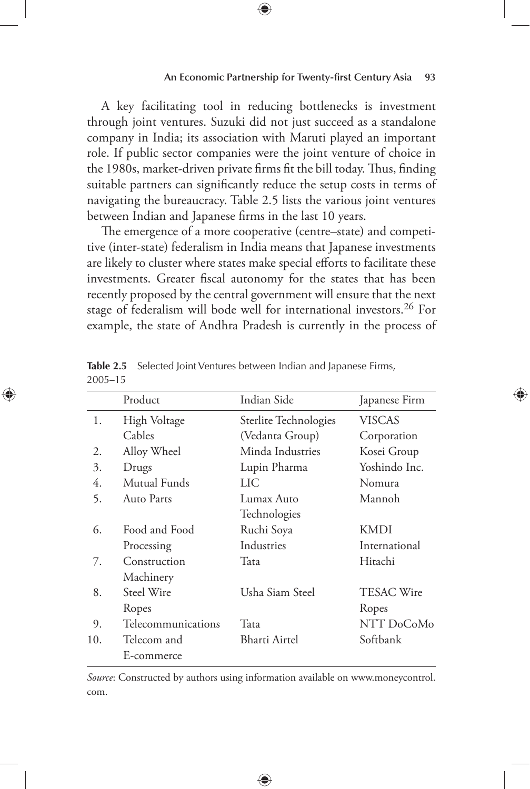A key facilitating tool in reducing bottlenecks is investment through joint ventures. Suzuki did not just succeed as a standalone company in India; its association with Maruti played an important role. If public sector companies were the joint venture of choice in the 1980s, market-driven private firms fit the bill today. Thus, finding suitable partners can significantly reduce the setup costs in terms of navigating the bureaucracy. Table 2.5 lists the various joint ventures between Indian and Japanese firms in the last 10 years.

⊕

The emergence of a more cooperative (centre–state) and competitive (inter-state) federalism in India means that Japanese investments are likely to cluster where states make special efforts to facilitate these investments. Greater fiscal autonomy for the states that has been recently proposed by the central government will ensure that the next stage of federalism will bode well for international investors. 26 For example, the state of Andhra Pradesh is currently in the process of

|     | Product            | Indian Side           | Japanese Firm     |
|-----|--------------------|-----------------------|-------------------|
| 1.  | High Voltage       | Sterlite Technologies | <b>VISCAS</b>     |
|     | Cables             | (Vedanta Group)       | Corporation       |
| 2.  | Alloy Wheel        | Minda Industries      | Kosei Group       |
| 3.  | Drugs              | Lupin Pharma          | Yoshindo Inc.     |
| 4.  | Mutual Funds       | LIC                   | Nomura            |
| 5.  | Auto Parts         | Lumax Auto            | Mannoh            |
|     |                    | Technologies          |                   |
| 6.  | Food and Food      | Ruchi Soya            | <b>KMDI</b>       |
|     | Processing         | Industries            | International     |
| 7.  | Construction       | Tata                  | Hitachi           |
|     | Machinery          |                       |                   |
| 8.  | Steel Wire         | Usha Siam Steel       | <b>TESAC Wire</b> |
|     | Ropes              |                       | Ropes             |
| 9.  | Telecommunications | Tata                  | NTT DoCoMo        |
| 10. | Telecom and        | Bharti Airtel         | Softbank          |
|     | E-commerce         |                       |                   |

**Table 2.5** Selected Joint Ventures between Indian and Japanese Firms, 2005–15

⊕

Source: Constructed by authors using information available on www.moneycontrol. com.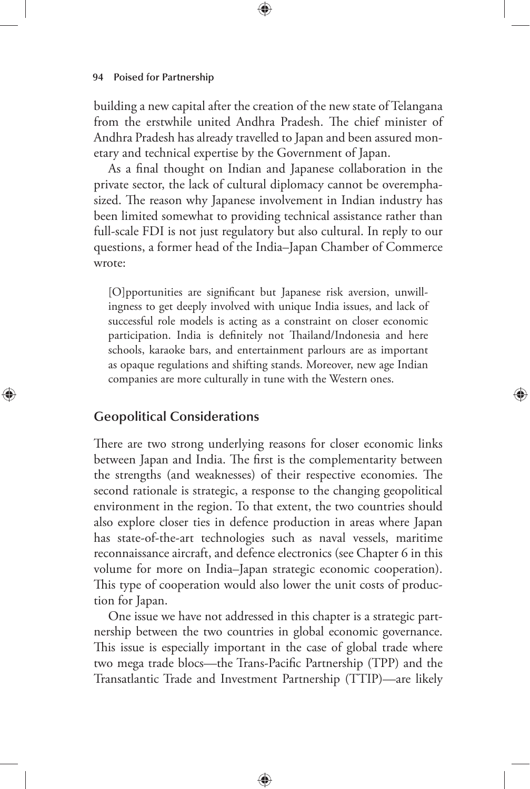building a new capital after the creation of the new state of Telangana from the erstwhile united Andhra Pradesh. The chief minister of Andhra Pradesh has already travelled to Japan and been assured monetary and technical expertise by the Government of Japan.

⊕

As a final thought on Indian and Japanese collaboration in the private sector, the lack of cultural diplomacy cannot be overemphasized. The reason why Japanese involvement in Indian industry has been limited somewhat to providing technical assistance rather than full-scale FDI is not just regulatory but also cultural. In reply to our questions, a former head of the India–Japan Chamber of Commerce wrote:

[O]pportunities are significant but Japanese risk aversion, unwillingness to get deeply involved with unique India issues, and lack of successful role models is acting as a constraint on closer economic participation. India is definitely not Thailand/Indonesia and here schools, karaoke bars, and entertainment parlours are as important as opaque regulations and shifting stands. Moreover, new age Indian companies are more culturally in tune with the Western ones.

## **Geopolitical Considerations**

⊕

There are two strong underlying reasons for closer economic links between Japan and India. The first is the complementarity between the strengths (and weaknesses) of their respective economies. The second rationale is strategic, a response to the changing geopolitical environment in the region. To that extent, the two countries should also explore closer ties in defence production in areas where Japan has state-of-the-art technologies such as naval vessels, maritime reconnaissance aircraft, and defence electronics (see Chapter 6 in this volume for more on India–Japan strategic economic cooperation). This type of cooperation would also lower the unit costs of production for Japan.

 One issue we have not addressed in this chapter is a strategic partnership between the two countries in global economic governance. This issue is especially important in the case of global trade where two mega trade blocs—the Trans-Pacific Partnership (TPP) and the Transatlantic Trade and Investment Partnership (TTIP)—are likely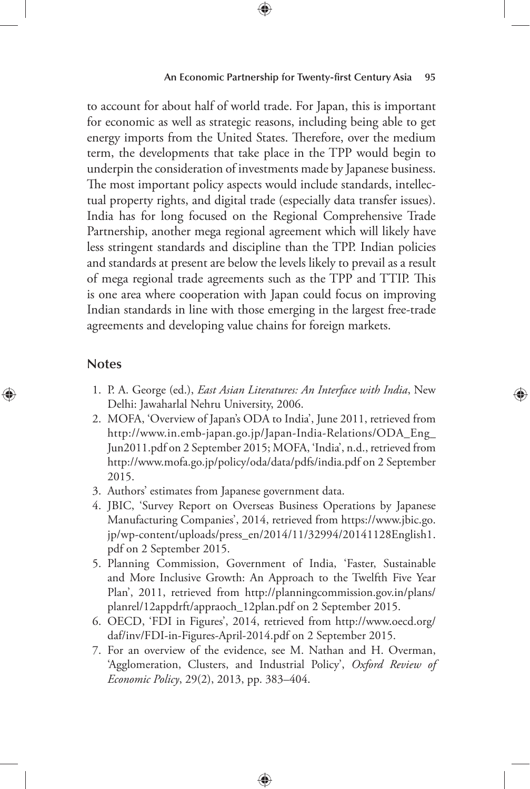to account for about half of world trade. For Japan, this is important for economic as well as strategic reasons, including being able to get energy imports from the United States. Therefore, over the medium term, the developments that take place in the TPP would begin to underpin the consideration of investments made by Japanese business. The most important policy aspects would include standards, intellectual property rights, and digital trade (especially data transfer issues). India has for long focused on the Regional Comprehensive Trade Partnership, another mega regional agreement which will likely have less stringent standards and discipline than the TPP. Indian policies and standards at present are below the levels likely to prevail as a result of mega regional trade agreements such as the TPP and TTIP. This is one area where cooperation with Japan could focus on improving Indian standards in line with those emerging in the largest free-trade agreements and developing value chains for foreign markets.

⊕

## **Notes**

◈

 1. P. A. George (ed.), *East Asian Literatures: An Interface with India* , New Delhi: Jawaharlal Nehru University, 2006.

◈

- 2. MOFA, 'Overview of Japan's ODA to India', June 2011, retrieved from http://www.in.emb-japan.go.jp/Japan-India-Relations/ODA\_Eng\_ Jun2011.pdf on 2 September 2015; MOFA, 'India', n.d., retrieved from http://www.mofa.go.jp/policy/oda/data/pdfs/india.pdf on 2 September 2015.
- 3. Authors' estimates from Japanese government data.
- 4. JBIC, 'Survey Report on Overseas Business Operations by Japanese Manufacturing Companies', 2014, retrieved from https://www.jbic.go. jp/wp-content/uploads/press\_en/2014/11/32994/20141128English1. pdf on 2 September 2015.
- 5. Planning Commission, Government of India, 'Faster, Sustainable and More Inclusive Growth: An Approach to the Twelfth Five Year Plan', 2011, retrieved from http://planningcommission.gov.in/plans/ planrel/12appdrft/appraoch\_12plan.pdf on 2 September 2015.
- 6. OECD, 'FDI in Figures', 2014, retrieved from http://www.oecd.org/ daf/inv/FDI-in-Figures-April-2014.pdf on 2 September 2015.
- 7. For an overview of the evidence, see M. Nathan and H. Overman, 'Agglomeration, Clusters, and Industrial Policy', *Oxford Review of Economic Policy* , 29(2), 2013, pp. 383–404.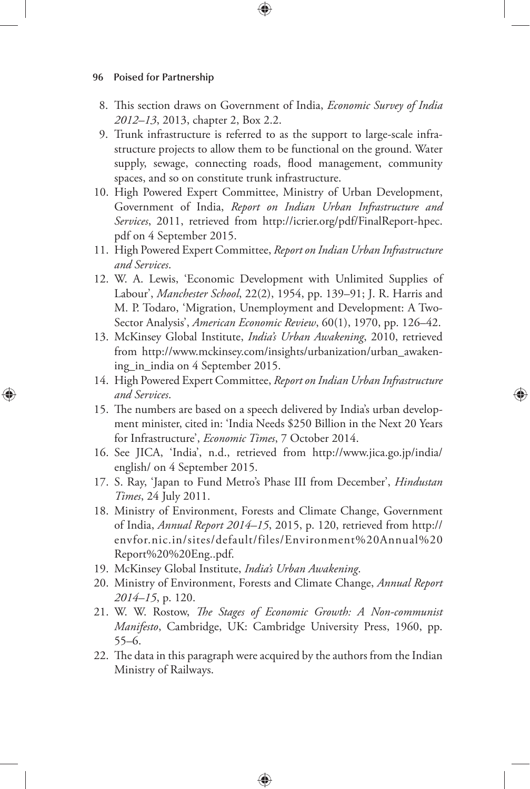⊕

 8. Th is section draws on Government of India, *Economic Survey of India 2012–13* , 2013, chapter 2, Box 2.2.

⊕

- 9. Trunk infrastructure is referred to as the support to large-scale infrastructure projects to allow them to be functional on the ground. Water supply, sewage, connecting roads, flood management, community spaces, and so on constitute trunk infrastructure.
- 10. High Powered Expert Committee, Ministry of Urban Development, Government of India, *Report on Indian Urban Infrastructure and Services* , 2011, retrieved from http://icrier.org/pdf/FinalReport-hpec. pdf on 4 September 2015.
- 11. High Powered Expert Committee, *Report on Indian Urban Infrastructure and Services* .
- 12. W. A. Lewis, 'Economic Development with Unlimited Supplies of Labour', *Manchester School*, 22(2), 1954, pp. 139–91; J. R. Harris and M. P. Todaro, 'Migration, Unemployment and Development: A Two-Sector Analysis', *American Economic Review*, 60(1), 1970, pp. 126–42.
- 13. McKinsey Global Institute, *India's Urban Awakening*, 2010, retrieved from http://www.mckinsey.com/insights/urbanization/urban\_awakening\_in\_india on 4 September 2015.
- 14. High Powered Expert Committee, *Report on Indian Urban Infrastructure and Services* .

↔

- 15. The numbers are based on a speech delivered by India's urban development minister, cited in: 'India Needs \$250 Billion in the Next 20 Years for Infrastructure', *Economic Times* , 7 October 2014.
- 16. See JICA, 'India', n.d., retrieved from http://www.jica.go.jp/india/ english/ on 4 September 2015.
- 17. S. Ray, 'Japan to Fund Metro's Phase III from December', *Hindustan Times* , 24 July 2011.
- 18. Ministry of Environment, Forests and Climate Change, Government of India, *Annual Report 2014–15* , 2015, p. 120, retrieved from http:// envfor.nic.in/sites/default/files/Environment%20Annual%20 Report%20%20Eng..pdf.
- 19. McKinsey Global Institute, *India's Urban Awakening* .
- 20. Ministry of Environment, Forests and Climate Change, *Annual Report 2014–15* , p. 120.
- 21. W. W. Rostow, *The Stages of Economic Growth: A Non-communist Manifesto*, Cambridge, UK: Cambridge University Press, 1960, pp. 55–6.
- 22. The data in this paragraph were acquired by the authors from the Indian Ministry of Railways.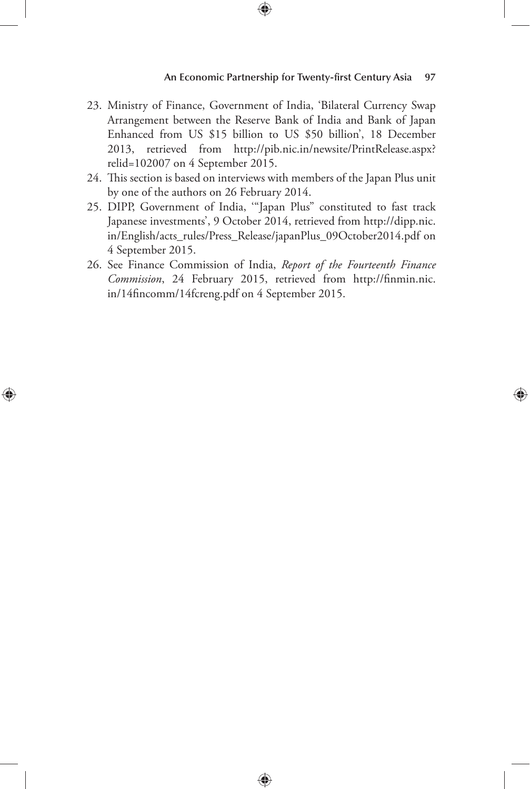23. Ministry of Finance, Government of India, 'Bilateral Currency Swap Arrangement between the Reserve Bank of India and Bank of Japan Enhanced from US \$15 billion to US \$50 billion', 18 December 2013, retrieved from http://pib.nic.in/newsite/PrintRelease.aspx? relid=102007 on 4 September 2015.

⊕

- 24. This section is based on interviews with members of the Japan Plus unit by one of the authors on 26 February 2014.
- 25. DIPP, Government of India, '"Japan Plus" constituted to fast track Japanese investments', 9 October 2014, retrieved from http://dipp.nic. in/English/acts\_rules/Press\_Release/japanPlus\_09October2014.pdf on 4 September 2015.
- 26. See Finance Commission of India, *Report of the Fourteenth Finance Commission*, 24 February 2015, retrieved from http://finmin.nic. in/14fincomm/14fcreng.pdf on 4 September 2015.

⊕

◈

◈